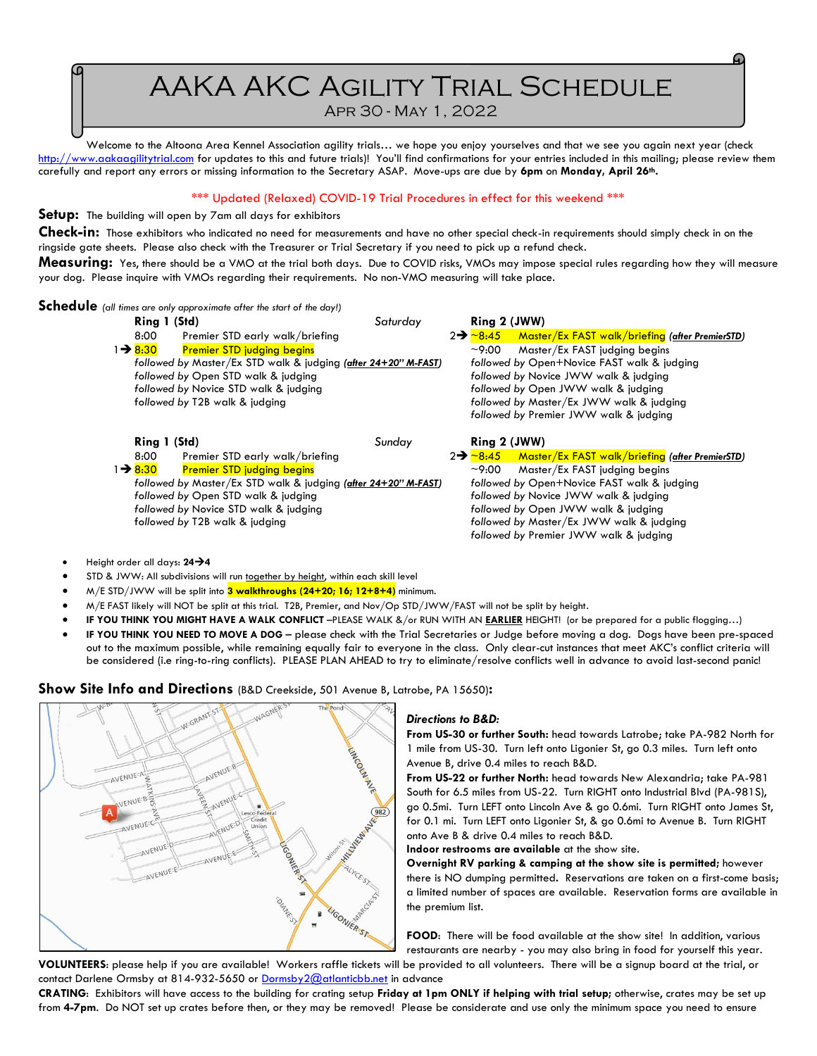### AAKA AKC Agility Trial Schedule Apr 30 - May 1, 2022

Welcome to the Altoona Area Kennel Association agility trials… we hope you enjoy yourselves and that we see you again next year (check [http://www.aakaagilitytrial.com](http://www.aakaagilitytrial.com/) for updates to this and future trials)! You'll find confirmations for your entries included in this mailing; please review them carefully and report any errors or missing information to the Secretary ASAP. Move-ups are due by **6pm** on **Monday, April 26th.**

#### \*\*\* Updated (Relaxed) COVID-19 Trial Procedures in effect for this weekend \*\*\*

**Setup:** The building will open by 7am all days for exhibitors

**Check-in:** Those exhibitors who indicated no need for measurements and have no other special check-in requirements should simply check in on the ringside gate sheets. Please also check with the Treasurer or Trial Secretary if you need to pick up a refund check.

**Measuring:** Yes, there should be a VMO at the trial both days. Due to COVID risks, VMOs may impose special rules regarding how they will measure your dog. Please inquire with VMOs regarding their requirements. No non-VMO measuring will take place.

**Schedule** *(all times are only approximate after the start of the day!)*

| 2→ ~8:45 Master/Ex FAST walk/briefing (after PremierSTD)<br>8:00<br>Premier STD early walk/briefing<br>$1 - \frac{1}{2}$ 8:30<br><b>Premier STD judging begins</b><br>$~1$ $-9.00$<br>Master/Ex FAST judging begins<br>followed by Master/Ex STD walk & judging (after 24+20" M-FAST)<br>followed by Open+Novice FAST walk & judging<br>followed by Open STD walk & judging<br>followed by Novice JWW walk & judging<br>followed by Novice STD walk & judging<br>followed by Open JWW walk & judging |  |  |  |  |  |  |  |
|------------------------------------------------------------------------------------------------------------------------------------------------------------------------------------------------------------------------------------------------------------------------------------------------------------------------------------------------------------------------------------------------------------------------------------------------------------------------------------------------------|--|--|--|--|--|--|--|
|                                                                                                                                                                                                                                                                                                                                                                                                                                                                                                      |  |  |  |  |  |  |  |
|                                                                                                                                                                                                                                                                                                                                                                                                                                                                                                      |  |  |  |  |  |  |  |
|                                                                                                                                                                                                                                                                                                                                                                                                                                                                                                      |  |  |  |  |  |  |  |
|                                                                                                                                                                                                                                                                                                                                                                                                                                                                                                      |  |  |  |  |  |  |  |
|                                                                                                                                                                                                                                                                                                                                                                                                                                                                                                      |  |  |  |  |  |  |  |
| followed by Master/Ex JWW walk & judging<br>followed by T2B walk & judging                                                                                                                                                                                                                                                                                                                                                                                                                           |  |  |  |  |  |  |  |
| followed by Premier JWW walk & judging                                                                                                                                                                                                                                                                                                                                                                                                                                                               |  |  |  |  |  |  |  |
|                                                                                                                                                                                                                                                                                                                                                                                                                                                                                                      |  |  |  |  |  |  |  |
| Ring 1 (Std)<br>Ring 2 (JWW)<br>Sunday                                                                                                                                                                                                                                                                                                                                                                                                                                                               |  |  |  |  |  |  |  |
| 2→ ~8:45 Master/Ex FAST walk/briefing (after PremierSTD)<br>8:00<br>Premier STD early walk/briefing                                                                                                                                                                                                                                                                                                                                                                                                  |  |  |  |  |  |  |  |
| 1 → 8:30<br><b>Premier STD judging begins</b><br>$~100^{-1}$<br>Master/Ex FAST judging begins                                                                                                                                                                                                                                                                                                                                                                                                        |  |  |  |  |  |  |  |
| followed by Master/Ex STD walk & judging (after 24+20" M-FAST)<br>followed by Open+Novice FAST walk & judging                                                                                                                                                                                                                                                                                                                                                                                        |  |  |  |  |  |  |  |
| followed by Open STD walk & judging<br>followed by Novice JWW walk & judging                                                                                                                                                                                                                                                                                                                                                                                                                         |  |  |  |  |  |  |  |
| followed by Novice STD walk & judging<br>followed by Open JWW walk & judging                                                                                                                                                                                                                                                                                                                                                                                                                         |  |  |  |  |  |  |  |
| followed by Master/Ex JWW walk & judging<br>followed by T2B walk & judging                                                                                                                                                                                                                                                                                                                                                                                                                           |  |  |  |  |  |  |  |
| followed by Premier JWW walk & judging                                                                                                                                                                                                                                                                                                                                                                                                                                                               |  |  |  |  |  |  |  |

- Height order all days: **24**→**4**
- STD & JWW: All subdivisions will run together by height, within each skill level
- M/E STD/JWW will be split into **3 walkthroughs (24+20; 16; 12+8+4)** minimum.
- M/E FAST likely will NOT be split at this trial. T2B, Premier, and Nov/Op STD/JWW/FAST will not be split by height.
- **IF YOU THINK YOU MIGHT HAVE A WALK CONFLICT** –PLEASE WALK &/or RUN WITH AN **EARLIER** HEIGHT! (or be prepared for a public flogging…)
- **IF YOU THINK YOU NEED TO MOVE A DOG** please check with the Trial Secretaries or Judge before moving a dog. Dogs have been pre-spaced out to the maximum possible, while remaining equally fair to everyone in the class. Only clear-cut instances that meet AKC's conflict criteria will be considered (i.e ring-to-ring conflicts). PLEASE PLAN AHEAD to try to eliminate/resolve conflicts well in advance to avoid last-second panic!



### **Show Site Info and Directions** (B&D Creekside, 501 Avenue B, Latrobe, PA 15650)**:**

*Directions to B&D:* 

**From US-30 or further South:** head towards Latrobe; take PA-982 North for 1 mile from US-30. Turn left onto Ligonier St, go 0.3 miles. Turn left onto Avenue B, drive 0.4 miles to reach B&D.

**From US-22 or further North:** head towards New Alexandria; take PA-981 South for 6.5 miles from US-22. Turn RIGHT onto Industrial Blvd (PA-981S), go 0.5mi. Turn LEFT onto Lincoln Ave & go 0.6mi. Turn RIGHT onto James St, for 0.1 mi. Turn LEFT onto Ligonier St, & go 0.6mi to Avenue B. Turn RIGHT onto Ave B & drive 0.4 miles to reach B&D.

**Indoor restrooms are available** at the show site.

**Overnight RV parking & camping at the show site is permitted;** however there is NO dumping permitted**.** Reservations are taken on a first-come basis; a limited number of spaces are available. Reservation forms are available in the premium list.

**FOOD:** There will be food available at the show site! In addition, various restaurants are nearby - you may also bring in food for yourself this year. **VOLUNTEERS**: please help if you are available! Workers raffle tickets will be provided to all volunteers. There will be a signup board at the trial, or

contact Darlene Ormsby at 814-932-5650 or Dormsby 2@atlanticbb.net in advance **CRATING**: Exhibitors will have access to the building for crating setup **Friday at 1pm ONLY if helping with trial setup;** otherwise, crates may be set up from **4-7pm**. Do NOT set up crates before then, or they may be removed! Please be considerate and use only the minimum space you need to ensure